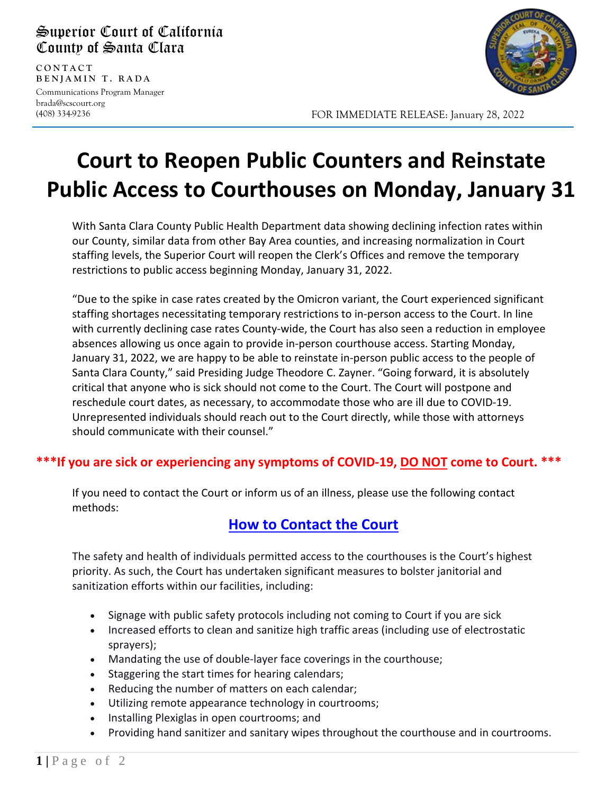#### Superior Court of California County of Santa Clara

**CONTAC T BENJAMIN T. RADA** Communications Program Manager brada@scscourt.org

(408) 334-9236

l



FOR IMMEDIATE RELEASE: January 28, 2022

### **Court to Reopen Public Counters and Reinstate Public Access to Courthouses on Monday, January 31**

With Santa Clara County Public Health Department data showing declining infection rates within our County, similar data from other Bay Area counties, and increasing normalization in Court staffing levels, the Superior Court will reopen the Clerk's Offices and remove the temporary restrictions to public access beginning Monday, January 31, 2022.

"Due to the spike in case rates created by the Omicron variant, the Court experienced significant staffing shortages necessitating temporary restrictions to in-person access to the Court. In line with currently declining case rates County-wide, the Court has also seen a reduction in employee absences allowing us once again to provide in-person courthouse access. Starting Monday, January 31, 2022, we are happy to be able to reinstate in-person public access to the people of Santa Clara County," said Presiding Judge Theodore C. Zayner. "Going forward, it is absolutely critical that anyone who is sick should not come to the Court. The Court will postpone and reschedule court dates, as necessary, to accommodate those who are ill due to COVID-19. Unrepresented individuals should reach out to the Court directly, while those with attorneys should communicate with their counsel."

#### **\*\*\*If you are sick or experiencing any symptoms of COVID-19, DO NOT come to Court. \*\*\***

If you need to contact the Court or inform us of an illness, please use the following contact methods:

### **[How to Contact the Court](https://www.scscourt.org/general_info/news_media/covid19.shtml#contact)**

The safety and health of individuals permitted access to the courthouses is the Court's highest priority. As such, the Court has undertaken significant measures to bolster janitorial and sanitization efforts within our facilities, including:

- Signage with public safety protocols including not coming to Court if you are sick
- Increased efforts to clean and sanitize high traffic areas (including use of electrostatic sprayers);
- Mandating the use of double-layer face coverings in the courthouse;
- Staggering the start times for hearing calendars;
- Reducing the number of matters on each calendar;
- Utilizing remote appearance technology in courtrooms;
- Installing Plexiglas in open courtrooms; and
- Providing hand sanitizer and sanitary wipes throughout the courthouse and in courtrooms.